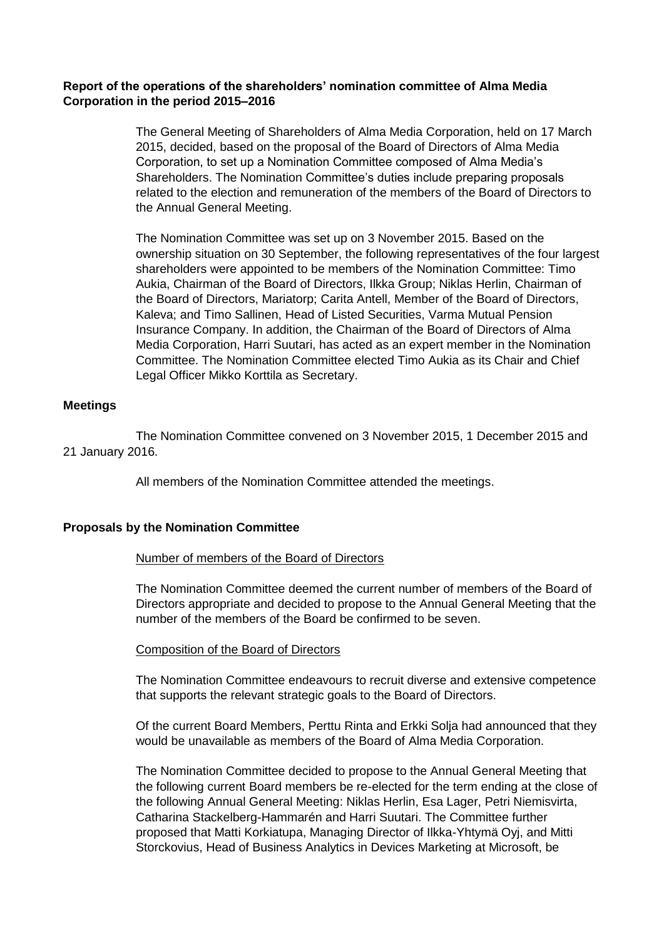# **Report of the operations of the shareholders' nomination committee of Alma Media Corporation in the period 2015–2016**

The General Meeting of Shareholders of Alma Media Corporation, held on 17 March 2015, decided, based on the proposal of the Board of Directors of Alma Media Corporation, to set up a Nomination Committee composed of Alma Media's Shareholders. The Nomination Committee's duties include preparing proposals related to the election and remuneration of the members of the Board of Directors to the Annual General Meeting.

The Nomination Committee was set up on 3 November 2015. Based on the ownership situation on 30 September, the following representatives of the four largest shareholders were appointed to be members of the Nomination Committee: Timo Aukia, Chairman of the Board of Directors, Ilkka Group; Niklas Herlin, Chairman of the Board of Directors, Mariatorp; Carita Antell, Member of the Board of Directors, Kaleva; and Timo Sallinen, Head of Listed Securities, Varma Mutual Pension Insurance Company. In addition, the Chairman of the Board of Directors of Alma Media Corporation, Harri Suutari, has acted as an expert member in the Nomination Committee. The Nomination Committee elected Timo Aukia as its Chair and Chief Legal Officer Mikko Korttila as Secretary.

# **Meetings**

The Nomination Committee convened on 3 November 2015, 1 December 2015 and 21 January 2016.

All members of the Nomination Committee attended the meetings.

# **Proposals by the Nomination Committee**

### Number of members of the Board of Directors

The Nomination Committee deemed the current number of members of the Board of Directors appropriate and decided to propose to the Annual General Meeting that the number of the members of the Board be confirmed to be seven.

### Composition of the Board of Directors

The Nomination Committee endeavours to recruit diverse and extensive competence that supports the relevant strategic goals to the Board of Directors.

Of the current Board Members, Perttu Rinta and Erkki Solja had announced that they would be unavailable as members of the Board of Alma Media Corporation.

The Nomination Committee decided to propose to the Annual General Meeting that the following current Board members be re-elected for the term ending at the close of the following Annual General Meeting: Niklas Herlin, Esa Lager, Petri Niemisvirta, Catharina Stackelberg-Hammarén and Harri Suutari. The Committee further proposed that Matti Korkiatupa, Managing Director of Ilkka-Yhtymä Oyj, and Mitti Storckovius, Head of Business Analytics in Devices Marketing at Microsoft, be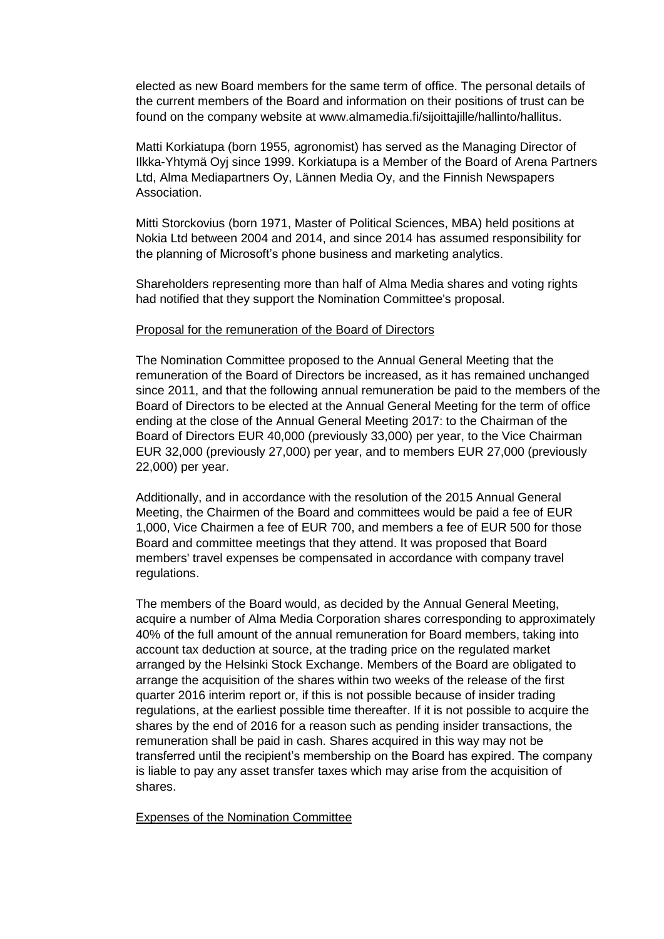elected as new Board members for the same term of office. The personal details of the current members of the Board and information on their positions of trust can be found on the company website at www.almamedia.fi/sijoittajille/hallinto/hallitus.

Matti Korkiatupa (born 1955, agronomist) has served as the Managing Director of Ilkka-Yhtymä Oyj since 1999. Korkiatupa is a Member of the Board of Arena Partners Ltd, Alma Mediapartners Oy, Lännen Media Oy, and the Finnish Newspapers Association.

Mitti Storckovius (born 1971, Master of Political Sciences, MBA) held positions at Nokia Ltd between 2004 and 2014, and since 2014 has assumed responsibility for the planning of Microsoft's phone business and marketing analytics.

Shareholders representing more than half of Alma Media shares and voting rights had notified that they support the Nomination Committee's proposal.

### Proposal for the remuneration of the Board of Directors

The Nomination Committee proposed to the Annual General Meeting that the remuneration of the Board of Directors be increased, as it has remained unchanged since 2011, and that the following annual remuneration be paid to the members of the Board of Directors to be elected at the Annual General Meeting for the term of office ending at the close of the Annual General Meeting 2017: to the Chairman of the Board of Directors EUR 40,000 (previously 33,000) per year, to the Vice Chairman EUR 32,000 (previously 27,000) per year, and to members EUR 27,000 (previously 22,000) per year.

Additionally, and in accordance with the resolution of the 2015 Annual General Meeting, the Chairmen of the Board and committees would be paid a fee of EUR 1,000, Vice Chairmen a fee of EUR 700, and members a fee of EUR 500 for those Board and committee meetings that they attend. It was proposed that Board members' travel expenses be compensated in accordance with company travel regulations.

The members of the Board would, as decided by the Annual General Meeting, acquire a number of Alma Media Corporation shares corresponding to approximately 40% of the full amount of the annual remuneration for Board members, taking into account tax deduction at source, at the trading price on the regulated market arranged by the Helsinki Stock Exchange. Members of the Board are obligated to arrange the acquisition of the shares within two weeks of the release of the first quarter 2016 interim report or, if this is not possible because of insider trading regulations, at the earliest possible time thereafter. If it is not possible to acquire the shares by the end of 2016 for a reason such as pending insider transactions, the remuneration shall be paid in cash. Shares acquired in this way may not be transferred until the recipient's membership on the Board has expired. The company is liable to pay any asset transfer taxes which may arise from the acquisition of shares.

### Expenses of the Nomination Committee